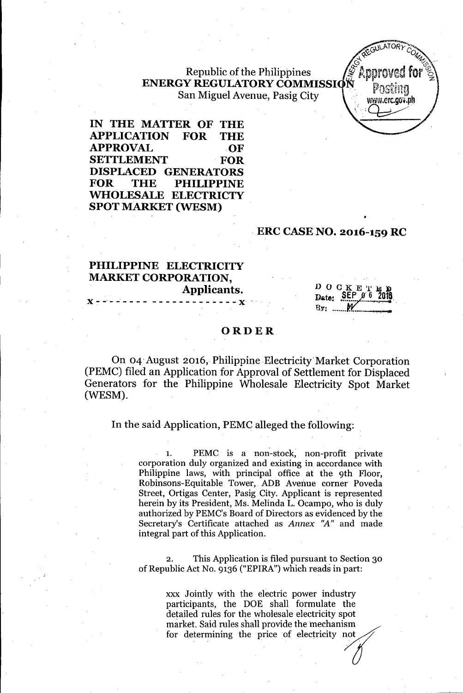## Republic of the Philippines **ENERGY REGULATORY COMMISSI** San Miguel Avenue, Pasig City

**IN THE MATTER OF THE APPLICATION FOR THE** APPROVAL OF **SETTLEMENT FOR DISPLACED GENERATORS FOR THE PHILIPPINE** ~OLESALE **ELECTRICTY SPOT MARKET (WESM)**

### **ERC CASENO. 2016-159 RC**

# **PHILIPPINE ELECTRICITY MARKET CORPORATION, Applicants.**  ${\bf x}$  - ------- -------------  ${\bf x}$

DOCKE! Date: SEP  $By:$  ...

GULATOR

www.erc.qov.ph

### **ORDER**

On 04' August 2016, Philippine Electricity' Market Corporation (PEMC) filed an Application for Approval of Settlement for Displaced Generators for the Philippine Wholesale Electricity Spot Market (WESM).

In the said Application, PEMC alleged the following:

1. PEMC is a non-stock, non-profit private corporation duly organized and existing in accordance with Philippine laws, with principal office at the 9th Floor, Robinsons-Equitable Tower, ADB Avenue corner Poveda Street, Ortigas Center, Pasig City. Applicant is represented herein by its President, Ms. Melinda L. Ocampo, who is duly authorized by PEMC's Board of Directors as evidenced by the Secretary's Certificate attached as *Annex "A"* and made integral part of this Application.

2. This Application is filed pursuant to Section 30 of Republic Act No. 9136 ("EPIRA") which reads in part:

> xxx Jointly with the electric power industry participants, the DOE shall formulate the detailed rules for the wholesale electricity spot market. Said rules shall provide the mechanism for detailed with the electric power industry<br>participants, the DOE shall formulate the<br>detailed rules for the wholesale electricity spot<br>market. Said rules shall provide the mechanism<br>for determining the price of electric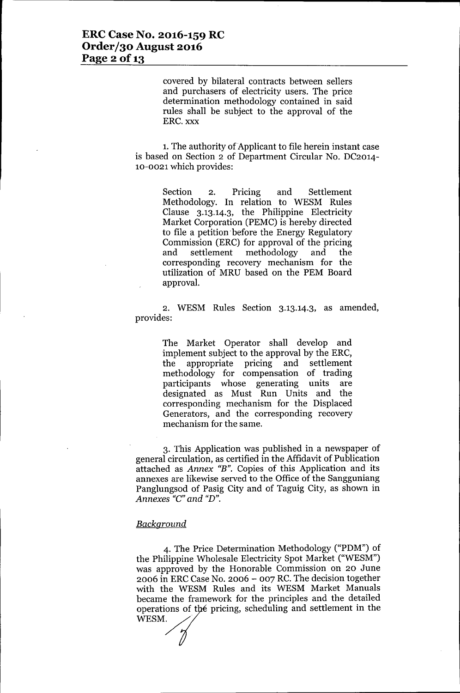covered by bilateral contracts between sellers and purchasers of electricity users. The price determination methodology contained in said rules shall be subject to the approval of the ERC. xxx

1. The authority of Applicant to file herein instant case is based on Section 2 of Department Circular No. DC2014- 10-0021 which provides:

> Section 2. Pricing and Settlement Methodology. **In** relation to WESM Rules Clause 3.13.14.3, the Philippine Electricity Market Corporation (PEMC) is hereby directed to file a petition' before the Energy Regulatory Commission (ERC) for approval of the pricing and settlement methodology and the corresponding recovery mechanism for the utilization of MRU based on the PEM Board approval.

2. WESM Rules Section 3.13.14.3, as amended, provides:

> The Market Operator shall develop and implement subject to the approval by the ERC, the appropriate pricing and settlement methodology for compensation of trading participants whose generating units are designated as Must Run Units and the corresponding mechanism for the Displaced Generators, and the corresponding recovery mechanism for the same.

3. This Application was published in a newspaper of general circulation, as certified in the Affidavit of Publication attached as *Annex "B".* Copies of this Application and its annexes are likewise served to the Office of the Sangguniang Panglungsod of Pasig City and of Taguig City, as shown in *Annexes "C"and "D".*

#### *Background*

4. The Price Determination Methodology ("PDM") of the Philippine Wholesale Electricity Spot Market ("WESM") was approved by the Honorable Commission on 20 June 2006 in ERC Case No. 2006 - 007 RC.The decision together with the WESM Rules and its WESM Market Manuals became the framework for the principles and the detailed operations of the pricing, scheduling and settlement in the WESM.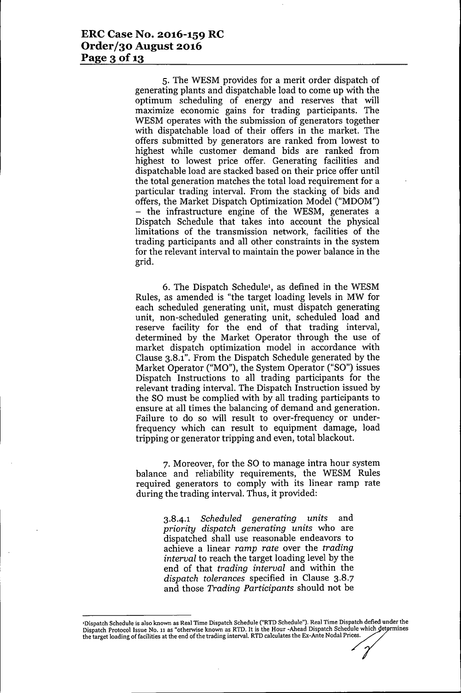5. The WESM provides for a merit order dispatch of generating plants and dispatchable load to come up with the optimum scheduling of energy and reserves that will maximize economic gains for trading participants. The WESM operates with the submission of generators together with dispatchable load of their offers in the market. The offers submitted by generators are ranked from lowest to highest while customer demand bids are ranked from highest to lowest price offer. Generating facilities and dispatchable load are stacked based on their price offer until the total generation matches the total load requirement for a particular trading interval. From the stacking of bids and offers, the Market Dispatch Optimization Model ("MDOM") - the infrastructure engine of the WESM, generates a Dispatch Schedule that takes into account the physical limitations of the transmission network, facilities of the trading participants and all other constraints in the system for the relevant interval to maintain the power balance in the grid.

6. The Dispatch Schedule!, as defined in the WESM Rules, as amended is "the target loading levels in MW for each scheduled generating unit, must dispatch generating unit, non-scheduled generating unit, scheduled load and reserve facility for the end of that trading interval, determined by the Market Operator through the use of market dispatch optimization model in accordance with Clause 3.8.1". From the Dispatch Schedule generated by the Market Operator ("MO"), the System Operator ("SO") issues Dispatch Instructions to all trading participants for the relevant trading interval. The Dispatch Instruction issued by the SO must be complied with by all trading participants to ensure at all times the balancing of demand and generation. Failure to do so will result to over-frequency or underfrequency which can result to equipment damage, load tripping or generator tripping and even, total blackout.

7. Moreover, for the SO to manage intra hour system balance and reliability requirements, the WESM Rules required generators to comply with its linear ramp rate during the trading interval. Thus, it provided:

> *3.8-4.1 Scheduled generating units* and *priority dispatch generating units* who are dispatched shall use reasonable endeavors to achieve a linear *ramp rate* over the *trading interval* to reach the target loading level by the end of that *trading interval* and within the *dispatch tolerances* specified in Clause 3.8.7 and those *Trading Participants* should not be

<sup>&#</sup>x27;Dispatch Schedule is also known as Real Time Dispatch Schedule ("RTD Schedule"). Real Time Dispatch defied under the Dispatch Protocol Issue No. 11 as "otherwise known as RTD. It is the Hour -Ahead Dispatch Schedule which Thispatch Schedule is also known as Real Time Dispatch Schedule ("RTD Schedule"). Real Time Dispatch defied under<br>Dispatch Protocol Issue No. 11 as "otherwise known as RTD. It is the Hour -Ahead Dispatch Schedule which det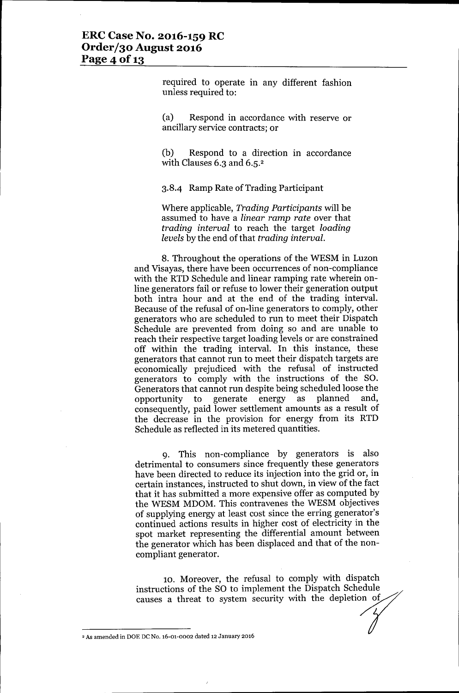required to operate in any different fashion unless required to:

(a) Respond in accordance with reserve or ancillary service contracts; or

(b) Respond to a direction in accordance with Clauses 6.3 and 6.5.<sup>2</sup>

3.8.4 Ramp Rate of Trading Participant

Where applicable, *Trading Participants* will be assumed to have a *linear ramp rate* over that *trading interval* to reach the target *loading levels* by the end of that *trading interval.*

8. Throughout the operations of the WESM in Luzon and Visayas, there have been occurrences of non-compliance with the RTD Schedule and linear ramping rate wherein online generators fail or refuse to lower their generation output both intra hour and at the end of the trading interval. Because of the refusal of on-line generators to comply, other generators who are scheduled to run to meet their Dispatch Schedule are prevented from doing so and are unable to reach their respective target loading levels or are constrained off within the trading interval. In this instance, these generators that cannot run to meet their dispatch targets are economically prejudiced with the refusal of instructed generators to comply with the instructions of the SO. Generators that cannot run despite being scheduled loose the opportunity to generate energy as planned and, consequently, paid lower settlement amounts as a result of the decrease in the provision for energy from its RTD Schedule as reflected in its metered quantities.

9. This non-compliance by generators is also detrimental to consumers since frequently these generators have been directed to reduce its injection into the grid or, in certain instances, instructed to shut down, in view of the fact that it has submitted a more expensive offer as computed by the WESM MDOM. This contravenes the WESM objectives of supplying energy at least cost since the erring generator's continued actions results in higher cost of electricity in the spot market representing the differential amount between the generator which has been displaced and that of the noncompliant generator.

10. Moreover, the refusal to comply with dispatch instructions of the SO to implement the Dispatch Schedule causes a threat to system security with the depletion of

<sup>&</sup>lt;sup>2</sup> As amended in DOE DC No. 16-01-0002 dated 12 January 2016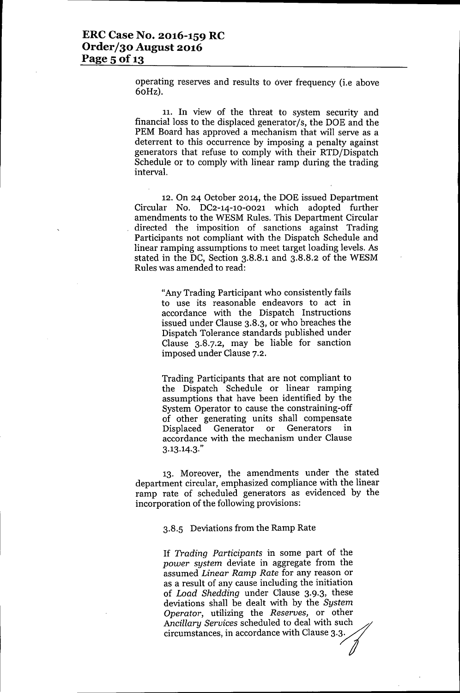operating reserves and results to over frequency (i.e above 60Hz).

11. **In** view of the threat to system security and financial loss to the displaced generator/s, the DOE and the PEM Board has approved a mechanism that will serve as a deterrent to this occurrence by imposing a penalty against generators that refuse to comply with their RTD/Dispatch Schedule or to comply with linear ramp during the trading interval.

12. On 24 October 2014, the DOE issued Department Circular No. DC2-14-10-0021 which adopted further amendments to the WESM Rules. This Department Circular directed the imposition of sanctions against Trading Participants not compliant with the Dispatch Schedule and linear ramping assumptions to meet target loading levels. As stated in the DC, Section 3.8.8.1 and 3.8.8.2 of the WESM Rules was amended to read:

> "Any Trading Participant who consistently fails to use its reasonable endeavors to act in accordance with the Dispatch Instructions issued under Clause 3.8.3, or who breaches the Dispatch Tolerance standards published under Clause 3.8.7.2, may be liable for sanction imposed under Clause 7.2.

Trading Participants that are not compliant to the Dispatch Schedule or linear ramping assumptions that have been identified by the System Operator to cause the constraining-off of other generating units shall compensate Displaced Generator or Generators in accordance with the mechanism under Clause 3.13.14.3."

13. Moreover, the amendments under the stated department circular, emphasized compliance with the linear ramp rate of scheduled generators as evidenced by the incorporation of the following provisions:

3.8.5 Deviations from the Ramp Rate

If *Trading Participants* in some part of the *power system* deviate in aggregate from the assumed *Linear Ramp Rate* for any reason or as a result of any cause including the initiation of *Load Shedding* under Clause 3.9.3, these deviations shall be dealt with by the *System Operator,* utilizing the *Reserves,* or other *Ancillary Services* scheduled to deal with such circumstances, in accordance with Clause 3.3.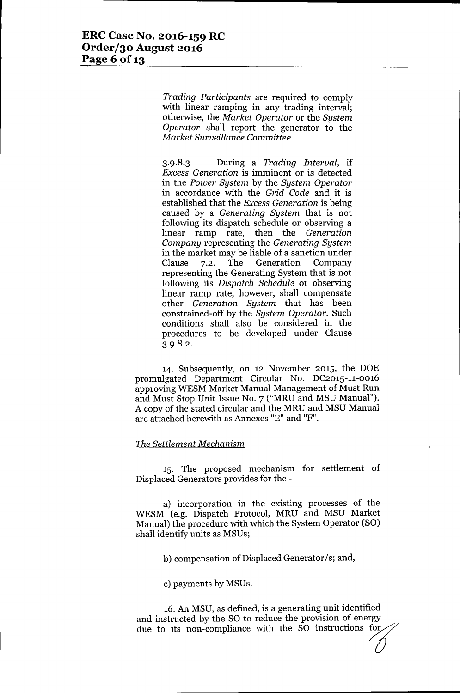*Trading Participants* are required to comply with linear ramping in any trading interval; otherwise, the *Market Operator* or the *System Operator* shall report the generator to the *Market Surveillance Committee.*

3.9.8.3 During a *Trading Interval,* if *Excess Generation* is imminent or is detected in the *Power System* by the *System Operator* in accordance with the *Grid Code* and it is established that the *Excess Generation* is being caused by a *Generating System* that is not following its dispatch schedule or observing a linear ramp rate, then the *Generation Company* representing the *Generating System* in the market may be liable of a sanction under Clause 7.2. The Generation Company representing the Generating System that is not following its *Dispatch Schedule* or observing linear ramp rate, however, shall compensate other *Generation System* that has been constrained-off by the *System Operator.* Such conditions shall also be considered in the procedures to be developed under Clause 3.9.8.2.

14. Subsequently, on 12 November 2015, the DOE promulgated Department Circular No. DC2015-11-00l6 approving WESM Market Manual Management of Must Run and Must Stop Unit Issue No. 7 ("MRU and MSU Manual"). A copy of the stated circular and the MRU and MSU Manual are attached herewith as Annexes "E" and "F".

#### *The Settlement Mechanism*

15. The proposed mechanism for settlement of Displaced Generators provides for the -

a) incorporation in the existing processes of the WESM (e.g. Dispatch Protocol, MRU and MSU Market Manual) the procedure with which the System Operator (SO) shall identify units as MSUs;

b) compensation of Displaced Generator/s; and,

c) payments by MSUs.

16.An MSU, as defined, is a generating unit identified and instructed by the SO to reduce the provision of energy due to its non-compliance with the SO instructions for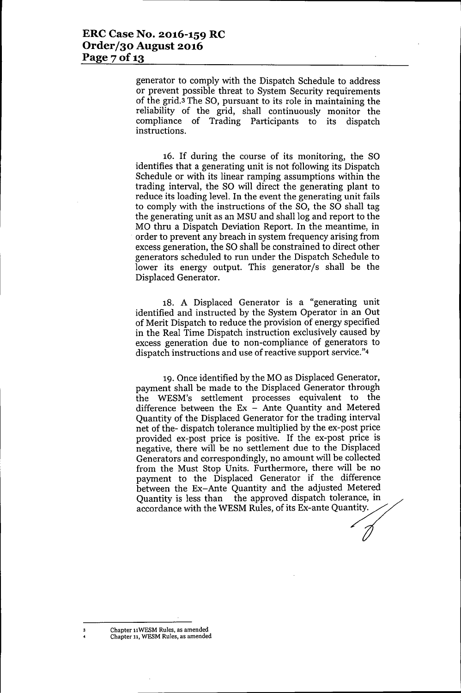generator to comply with the Dispatch Schedule to address or prevent possible threat to System Security requirements of the grid.3 The SO, pursuant to its role in maintaining the reliability of the grid, shall continuously monitor the compliance of Trading Participants to its dispatch instructions.

16. If during the course of its monitoring, the SO identifies that a generating unit is not following its Dispatch Schedule or with its linear ramping assumptions within the trading interval, the SO will direct the generating plant to reduce its loading level. In the event the generating unit fails to comply with the instructions of the SO, the SO shall tag the generating unit as an MSU and shall log and report to the MO thru a Dispatch Deviation Report. In the meantime, in order to prevent any breach in system frequency arising from excess generation, the SO shall be constrained to direct other generators scheduled to run under the Dispatch Schedule to lower its energy output. This generator/s shall be the Displaced Generator.

18. A Displaced Generator is a "generating unit identified and instructed by the System Operator in an Out of Merit Dispatch to reduce the provision of energy specified in the Real Time Dispatch instruction exclusively caused by excess generation due to non-compliance of generators to dispatch instructions and use of reactive support service."4

19. Once identified by the MO as Displaced Generator, payment shall be made to the Displaced Generator through the WESM's settlement processes equivalent to the difference between the  $Ex -$  Ante Quantity and Metered Quantity of the Displaced Generator for the trading interval net of the- dispatch tolerance multiplied by the ex-post price provided ex-post price is positive. If the ex-post price is negative, there will be no settlement due to the Displaced Generators and correspondingly, no amount will be collected from the Must Stop Units. Furthermore, there will be no payment to the Displaced Generator if the difference between the Ex-Ante Quantity and the adjusted Metered nom the France Experience Definition of the difference between the Ex-Ante Quantity and the adjusted Metered Quantity is less than the approved dispatch tolerance, in accordance with the WESM Rules, of its Ex-ante Quantity -<br>0<br>d<br>1<br>//

Chapter 11WESM Rules, as amended Chapter 11,WESM Rules, as amended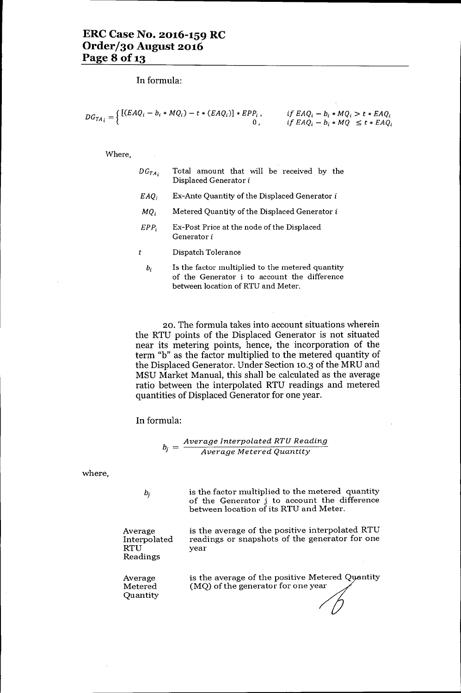**In** formula:

$$
DG_{TA_i} = \begin{cases} [(EAQ_i - b_i * MQ_i) - t * (EAQ_i)] * EPP_i, & \text{if } EAQ_i - b_i * MQ_i > t * EAQ_i \\ 0, & \text{if } EAQ_i - b_i * MQ \le t * EAQ_i \end{cases}
$$

Where,

| $DG_{TA_i}$ | Total amount that will be received by the<br>Displaced Generator i |  |  |  |
|-------------|--------------------------------------------------------------------|--|--|--|
| EAO.        | Ex-Ante Quantity of the Displaced Generator i                      |  |  |  |
| MO.         | Metered Quantity of the Displaced Generator i                      |  |  |  |
|             |                                                                    |  |  |  |

- *EPP<sub>i</sub>* Ex-Post Price at the node of the Displaced Generator i
- *t* Dispatch Tolerance
- *hi* Is the factor multiplied to the metered quantity of the Generator i to account the difference between location of RTU and Meter.

20. The formula takes into account situations wherein the RTU points of the Displaced Generator is not situated near its metering points, hence, the incorporation of the term "b" as the factor multiplied to the metered quantity of the Displaced Generator. Under Section 10.3 of the MRU and MSU Market Manual, this shall be calculated as the average ratio between the interpolated RTU readings and metered quantities of Displaced Generator for one year.

**In** formula:

$$
b_j = \frac{Average\ Interpolated\ RTU\ Reading}{Average\ Metered\ Quantity}
$$

where,

is the factor multiplied to the metered quantity of the Generator j to account the difference between location of its RTU and Meter.

Average Interpolated RTU Readings

 $b_j$ 

year

is the average of the positive Metered Quantity (MQ) of the generator for one year

is the average of the positive interpolated RTU readings or snapshots of the generator for one

Average Metered Quantity

 $^\prime$  (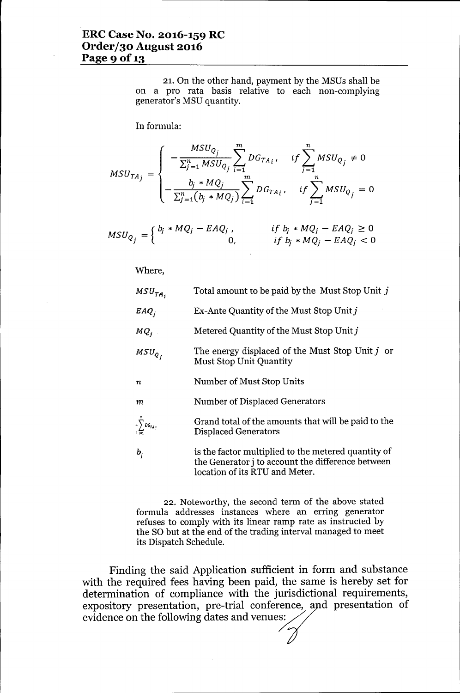21. On the other hand, payment by the MSUs shall be on a pro rata basis relative to each non-complying generator's MSU quantity.

In formula:

$$
MSU_{TA_j} = \begin{cases} -\frac{MSU_{Q_j}}{\sum_{j=1}^n MSU_{Q_j}} \sum_{i=1}^m DG_{TA_i}, & if \sum_{j=1}^n MSU_{Q_j} \neq 0\\ -\frac{b_j * MQ_j}{\sum_{j=1}^n (b_j * MQ_j)} \sum_{i=1}^m DG_{TA_i}, & if \sum_{j=1}^n MSU_{Q_j} = 0 \end{cases}
$$

$$
MSU_{Q_j} = \begin{cases} b_j * MQ_j - EAQ_j, & \text{if } b_j * MQ_j - EAQ_j \ge 0 \\ 0, & \text{if } b_j * MQ_j - EAQ_j < 0 \end{cases}
$$

Where,

| $MSU_{TA_i}$                 | Total amount to be paid by the Must Stop Unit j                                                                 |
|------------------------------|-----------------------------------------------------------------------------------------------------------------|
| $EAQ_i$                      | Ex-Ante Quantity of the Must Stop Unit $j$                                                                      |
| MQ <sub>j</sub>              | Metered Quantity of the Must Stop Unit j                                                                        |
| $MSU_{Q_{\tau}}$             | The energy displaced of the Must Stop Unit j or<br><b>Must Stop Unit Quantity</b>                               |
| $\boldsymbol{n}$             | Number of Must Stop Units                                                                                       |
| m                            | Number of Displaced Generators                                                                                  |
| $-\sum_{i=1}^{m}DG_{TA_{i}}$ | Grand total of the amounts that will be paid to the<br><b>Displaced Generators</b>                              |
| $b_i$                        | is the factor multiplied to the metered quantity of<br>the Generator <i>i</i> to account the difference between |

22. Noteworthy, the second term of the above stated formula addresses instances where an erring generator refuses to comply with its linear ramp rate as instructed by the SO but at the end of the trading interval managed to meet its Dispatch Schedule.

location of its RTU and Meter.

Finding the said Application sufficient in form and substance with the required fees having been paid, the same is hereby set for determination of compliance with the jurisdictional requirements, expository presentation, pre-trial conference, and presentation of evidence on the following dates and venues: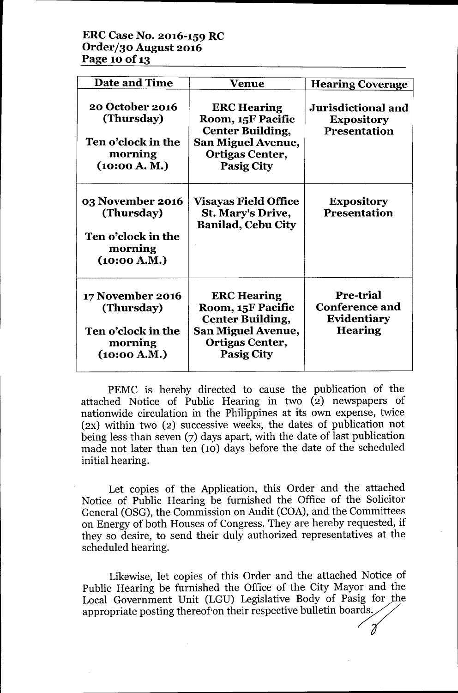# **ERCCase No. 2016-159 RC Order/30August 2016 Page 10** of 13

| <b>Date and Time</b>                                                            | Venue                                                                                                                                          | <b>Hearing Coverage</b>                                                    |
|---------------------------------------------------------------------------------|------------------------------------------------------------------------------------------------------------------------------------------------|----------------------------------------------------------------------------|
| 20 October 2016<br>(Thursday)<br>Ten o'clock in the<br>morning<br>(10:00 A. M.) | <b>ERC Hearing</b><br>Room, 15F Pacific<br><b>Center Building,</b><br><b>San Miguel Avenue,</b><br><b>Ortigas Center,</b><br><b>Pasig City</b> | Jurisdictional and<br><b>Expository</b><br><b>Presentation</b>             |
| 03 November 2016<br>(Thursday)<br>Ten o'clock in the<br>morning<br>(10:00 A.M.) | <b>Visayas Field Office</b><br>St. Mary's Drive,<br><b>Banilad, Cebu City</b>                                                                  | <b>Expository</b><br><b>Presentation</b>                                   |
| 17 November 2016<br>(Thursday)<br>Ten o'clock in the<br>morning<br>(10:00 A.M.) | <b>ERC Hearing</b><br>Room, 15F Pacific<br><b>Center Building,</b><br><b>San Miguel Avenue,</b><br><b>Ortigas Center,</b><br><b>Pasig City</b> | <b>Pre-trial</b><br><b>Conference and</b><br>Evidentiary<br><b>Hearing</b> |

PEMC is hereby directed to cause the publication of the attached Notice of Public Hearing in two (2) newspapers of nationwide circulation in the Philippines at its own expense, twice (2X) within two (2) successive weeks, the dates of publication not being less than seven (7) days apart, with the date of last publication made not later than ten (10) days before the date of the scheduled initial hearing.

Let copies of the Application, this Order and the attached Notice of Public Hearing be furnished the Office of the Solicitor General (OSG), the Commission on Audit (COA), and the Committees on Energy of both Houses of Congress. They are hereby requested, if they so desire, to send their duly authorized representatives at the scheduled hearing.

Likewise, let copies of this Order and the attached Notice of Public Hearing be furnished the Office of the City Mayor and the Local Government Unit (LGU) Legislative Body of Pasig for the appropriate posting thereof on their respective bulletin boards.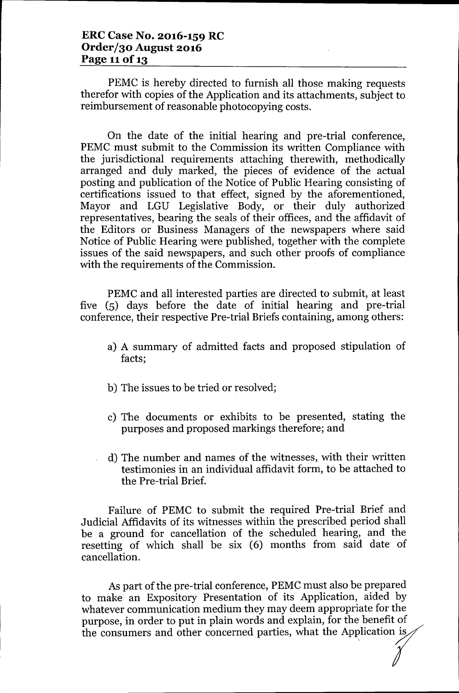## **ERC Case No. 2016-159 RC Order/30 August 2016 Page 11**of 13

PEMC is hereby directed to furnish all those making requests therefor with copies of the Application and its attachments, subject to reimbursement of reasonable photocopying costs.

On the date of the initial hearing and pre-trial conference, PEMC must submit to the Commission its written Compliance with the jurisdictional requirements attaching therewith, methodically arranged and duly marked, the pieces of evidence of the actual posting and publication of the Notice of Public Hearing consisting of certifications issued to that effect, signed by the aforementioned, Mayor and LGU Legislative Body, or their duly authorized representatives, bearing the seals of their offices, and the affidavit of the Editors or Business Managers of the newspapers where said Notice of Public Hearing were published, together with the complete issues of the said newspapers, and such other proofs of compliance with the requirements of the Commission.

PEMC and all interested parties are directed to submit, at least five (5) days before the date of initial hearing and pre-trial conference, their respective Pre-trial Briefs containing, among others:

- a) A summary of admitted facts and proposed stipulation of facts;
- b) The issues to be tried or resolved;
- c) The documents or exhibits to be presented, stating the purposes and proposed markings therefore; and
- d) The number and names of the witnesses, with their written testimonies in an individual affidavit form, to be attached to the Pre-trial Brief.

Failure of PEMC to submit the required Pre-trial Brief and Judicial Affidavits of its witnesses within the prescribed period shall be a ground for cancellation of the scheduled hearing, and the resetting of which shall be six (6) months from said date of cancellation.

As part of the pre-trial conference, PEMC must also be prepared to make an Expository Presentation of its Application, aided by whatever communication medium they may deem appropriate for the purpose, in order to put in plain words and explain, for the benefit of the consumers and other concerned parties, what the Application is  $\sim$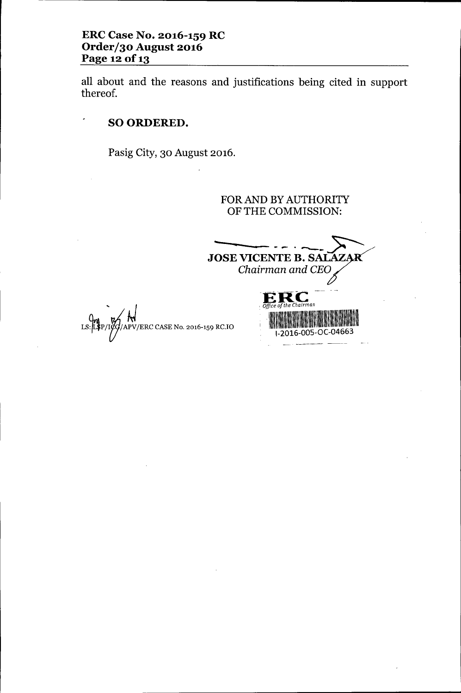all about and the reasons and justifications being cited in support thereof.

# SO ORDERED.

,

 $LS:$ 

Pasig City, 30 August 2016.

FOR AND BY AUTHORITY OF THE COMMISSION:

**JOSE VICENTE B. SALAZAR** Chairman and CEO --~--R--C -- E \_ <sup>I</sup> *Office of the ChaIrman* . 、<br>PV/ERC CASE No. 2016-159 RC.IO <sup>I</sup> \ \\1111 ll~IIII! 1-2016-005-0C-04663